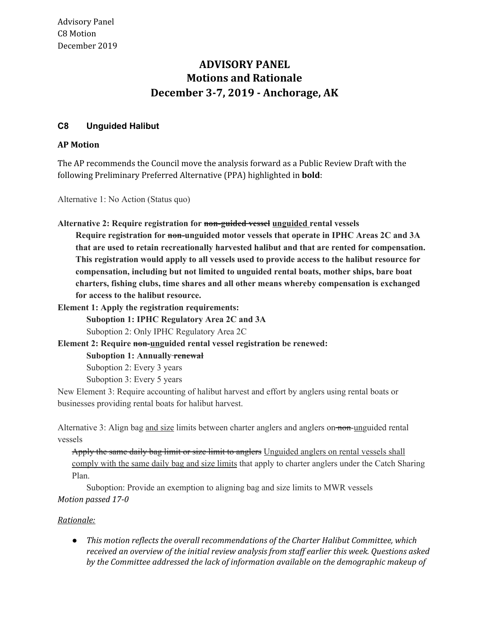## **Motions and Rationale December 3-7, 2019 - Anchorage, AK ADVISORY PANEL**

## **C8 Unguided Halibut**

## **AP Motion**

 The AP recommends the Council move the analysis forward as a Public Review Draft with the following Preliminary Preferred Alternative (PPA) highlighted in **bold**:

Alternative 1: No Action (Status quo)

 **Alternative 2: Require registration for non-guided vessel unguided rental vessels**

 **Require registration for non-unguided motor vessels that operate in IPHC Areas 2C and 3A that are used to retain recreationally harvested halibut and that are rented for compensation. This registration would apply to all vessels used to provide access to the halibut resource for compensation, including but not limited to unguided rental boats, mother ships, bare boat charters, fishing clubs, time shares and all other means whereby compensation is exchanged for access to the halibut resource.**

 **Element 1: Apply the registration requirements:**

 **Suboption 1: IPHC Regulatory Area 2C and 3A**

Suboption 2: Only IPHC Regulatory Area 2C

 **Element 2: Require non-unguided rental vessel registration be renewed:**

 **Suboption 1: Annually renewal**

Suboption 2: Every 3 years

Suboption 3: Every 5 years

 New Element 3: Require accounting of halibut harvest and effort by anglers using rental boats or businesses providing rental boats for halibut harvest.

Alternative 3: Align bag and size limits between charter anglers and anglers on non-unguided rental vessels

Apply the same daily bag limit or size limit to anglers Unguided anglers on rental vessels shall comply with the same daily bag and size limits that apply to charter anglers under the Catch Sharing Plan.

 Suboption: Provide an exemption to aligning bag and size limits to MWR vessels  *Motion passed 17-0*

## *Rationale:*

 *● This motion reflects the overall recommendations of the Charter Halibut Committee, which received an overview of the initial review analysis from staff earlier this week. Questions asked by the Committee addressed the lack of information available on the demographic makeup of*